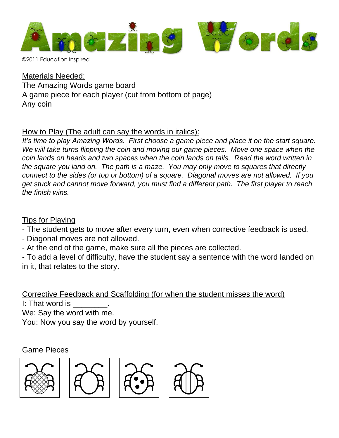

©2011 Education Inspired

Materials Needed: The Amazing Words game board A game piece for each player (cut from bottom of page) Any coin

## How to Play (The adult can say the words in italics):

*It's time to play Amazing Words. First choose a game piece and place it on the start square. We will take turns flipping the coin and moving our game pieces. Move one space when the coin lands on heads and two spaces when the coin lands on tails. Read the word written in the square you land on. The path is a maze. You may only move to squares that directly connect to the sides (or top or bottom) of a square. Diagonal moves are not allowed. If you get stuck and cannot move forward, you must find a different path. The first player to reach the finish wins.*

## Tips for Playing

- The student gets to move after every turn, even when corrective feedback is used.

- Diagonal moves are not allowed.
- At the end of the game, make sure all the pieces are collected.

- To add a level of difficulty, have the student say a sentence with the word landed on in it, that relates to the story.

Corrective Feedback and Scaffolding (for when the student misses the word) I: That word is

We: Say the word with me.

You: Now you say the word by yourself.

## Game Pieces